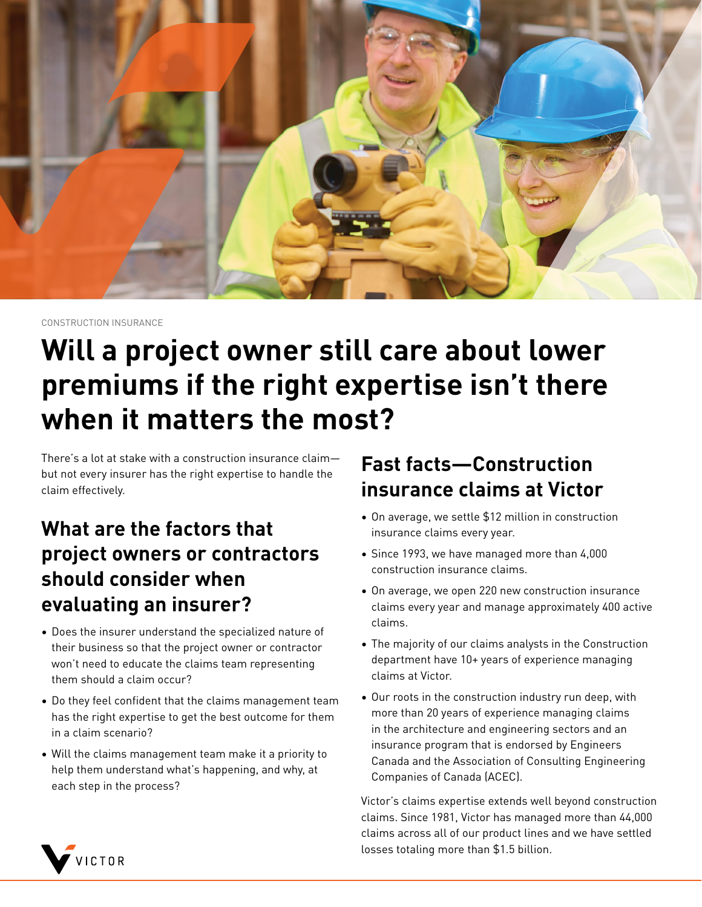

CONSTRUCTION INSURANCE

# **Will a project owner still care about lower premiums if the right expertise isn't there when it matters the most?**

There's a lot at stake with a construction insurance claim but not every insurer has the right expertise to handle the claim effectively.

# **What are the factors that project owners or contractors should consider when evaluating an insurer?**

- Does the insurer understand the specialized nature of their business so that the project owner or contractor won't need to educate the claims team representing them should a claim occur?
- Do they feel confident that the claims management team has the right expertise to get the best outcome for them in a claim scenario?
- Will the claims management team make it a priority to help them understand what's happening, and why, at each step in the process?

## **Fast facts—Construction insurance claims at Victor**

- On average, we settle \$12 million in construction insurance claims every year.
- Since 1993, we have managed more than 4,000 construction insurance claims.
- On average, we open 220 new construction insurance claims every year and manage approximately 400 active claims.
- The majority of our claims analysts in the Construction department have 10+ years of experience managing claims at Victor.
- Our roots in the construction industry run deep, with more than 20 years of experience managing claims in the architecture and engineering sectors and an insurance program that is endorsed by Engineers Canada and the Association of Consulting Engineering Companies of Canada (ACEC).

Victor's claims expertise extends well beyond construction claims. Since 1981, Victor has managed more than 44,000 claims across all of our product lines and we have settled losses totaling more than \$1.5 billion.